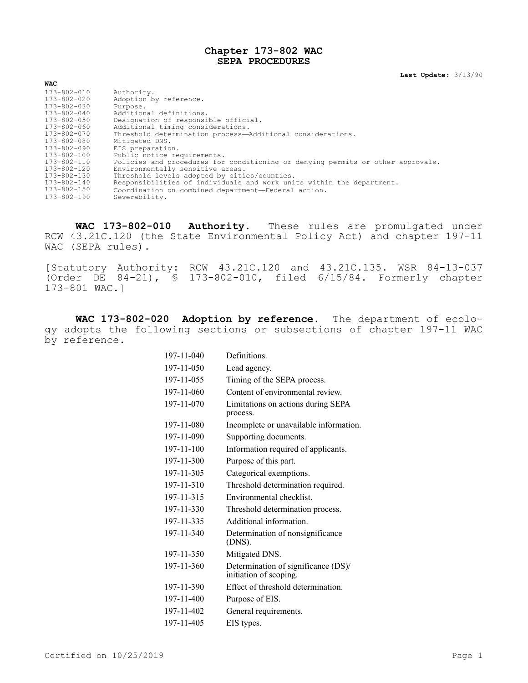## **Chapter 173-802 WAC SEPA PROCEDURES**

**Last Update:** 3/13/90

| WAC               |                                                                                 |
|-------------------|---------------------------------------------------------------------------------|
| 173-802-010       | Authority.                                                                      |
| 173-802-020       | Adoption by reference.                                                          |
| 173-802-030       | Purpose.                                                                        |
| $173 - 802 - 040$ | Additional definitions.                                                         |
| 173-802-050       | Designation of responsible official.                                            |
| 173-802-060       | Additional timing considerations.                                               |
| 173-802-070       | Threshold determination process-Additional considerations.                      |
| 173-802-080       | Mitigated DNS.                                                                  |
| 173-802-090       | EIS preparation.                                                                |
| 173-802-100       | Public notice requirements.                                                     |
| 173-802-110       | Policies and procedures for conditioning or denying permits or other approvals. |
| 173-802-120       | Environmentally sensitive areas.                                                |
| 173-802-130       | Threshold levels adopted by cities/counties.                                    |
| 173-802-140       | Responsibilities of individuals and work units within the department.           |
| 173-802-150       | Coordination on combined department-Federal action.                             |
| $173 - 802 - 190$ | Severability.                                                                   |

**WAC 173-802-010 Authority.** These rules are promulgated under RCW 43.21C.120 (the State Environmental Policy Act) and chapter 197-11 WAC (SEPA rules).

[Statutory Authority: RCW 43.21C.120 and 43.21C.135. WSR 84-13-037 (Order DE 84-21), § 173-802-010, filed 6/15/84. Formerly chapter 173-801 WAC.]

**WAC 173-802-020 Adoption by reference.** The department of ecology adopts the following sections or subsections of chapter 197-11 WAC by reference.

| 197-11-040 | Definitions.                                                  |
|------------|---------------------------------------------------------------|
| 197-11-050 | Lead agency.                                                  |
| 197-11-055 | Timing of the SEPA process.                                   |
| 197-11-060 | Content of environmental review.                              |
| 197-11-070 | Limitations on actions during SEPA<br>process.                |
| 197-11-080 | Incomplete or unavailable information.                        |
| 197-11-090 | Supporting documents.                                         |
| 197-11-100 | Information required of applicants.                           |
| 197-11-300 | Purpose of this part.                                         |
| 197-11-305 | Categorical exemptions.                                       |
| 197-11-310 | Threshold determination required.                             |
| 197-11-315 | Environmental checklist                                       |
| 197-11-330 | Threshold determination process.                              |
| 197-11-335 | Additional information.                                       |
| 197-11-340 | Determination of nonsignificance<br>(DNS).                    |
| 197-11-350 | Mitigated DNS.                                                |
| 197-11-360 | Determination of significance (DS)/<br>initiation of scoping. |
| 197-11-390 | Effect of threshold determination.                            |
| 197-11-400 | Purpose of EIS.                                               |
| 197-11-402 | General requirements.                                         |
| 197-11-405 | EIS types.                                                    |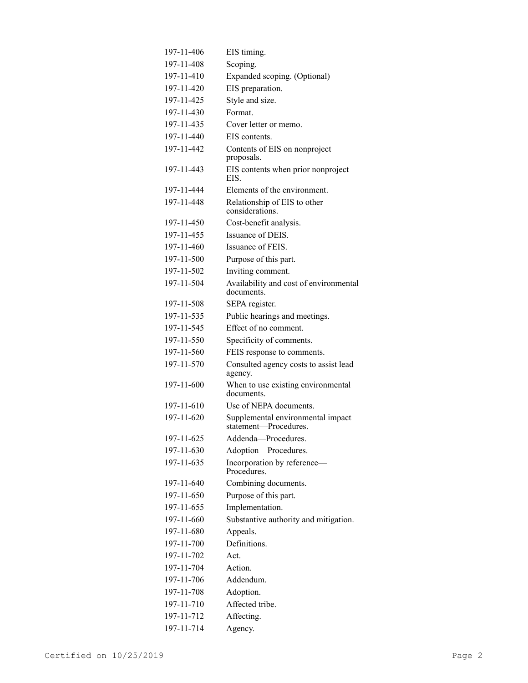| 197-11-406 | EIS timing.                                                |
|------------|------------------------------------------------------------|
| 197-11-408 | Scoping.                                                   |
| 197-11-410 | Expanded scoping. (Optional)                               |
| 197-11-420 | EIS preparation.                                           |
| 197-11-425 | Style and size.                                            |
| 197-11-430 | Format.                                                    |
| 197-11-435 | Cover letter or memo.                                      |
| 197-11-440 | EIS contents.                                              |
| 197-11-442 | Contents of EIS on nonproject<br>proposals.                |
| 197-11-443 | EIS contents when prior nonproject<br>EIS.                 |
| 197-11-444 | Elements of the environment.                               |
| 197-11-448 | Relationship of EIS to other<br>considerations.            |
| 197-11-450 | Cost-benefit analysis.                                     |
| 197-11-455 | Issuance of DEIS.                                          |
| 197-11-460 | Issuance of FEIS.                                          |
| 197-11-500 | Purpose of this part.                                      |
| 197-11-502 | Inviting comment.                                          |
| 197-11-504 | Availability and cost of environmental<br>documents.       |
| 197-11-508 | SEPA register.                                             |
| 197-11-535 | Public hearings and meetings.                              |
| 197-11-545 | Effect of no comment.                                      |
| 197-11-550 | Specificity of comments.                                   |
| 197-11-560 | FEIS response to comments.                                 |
| 197-11-570 | Consulted agency costs to assist lead<br>agency.           |
| 197-11-600 | When to use existing environmental<br>documents.           |
| 197-11-610 | Use of NEPA documents.                                     |
| 197-11-620 | Supplemental environmental impact<br>statement-Procedures. |
| 197-11-625 | Addenda-Procedures.                                        |
| 197-11-630 | Adoption-Procedures.                                       |
| 197-11-635 | Incorporation by reference-<br>Procedures.                 |
| 197-11-640 | Combining documents.                                       |
| 197-11-650 | Purpose of this part.                                      |
| 197-11-655 | Implementation.                                            |
| 197-11-660 | Substantive authority and mitigation.                      |
| 197-11-680 | Appeals.                                                   |
| 197-11-700 | Definitions.                                               |
| 197-11-702 | Act.                                                       |
| 197-11-704 | Action.                                                    |
| 197-11-706 | Addendum.                                                  |
| 197-11-708 | Adoption.                                                  |
| 197-11-710 | Affected tribe.                                            |
| 197-11-712 | Affecting.                                                 |
| 197-11-714 | Agency.                                                    |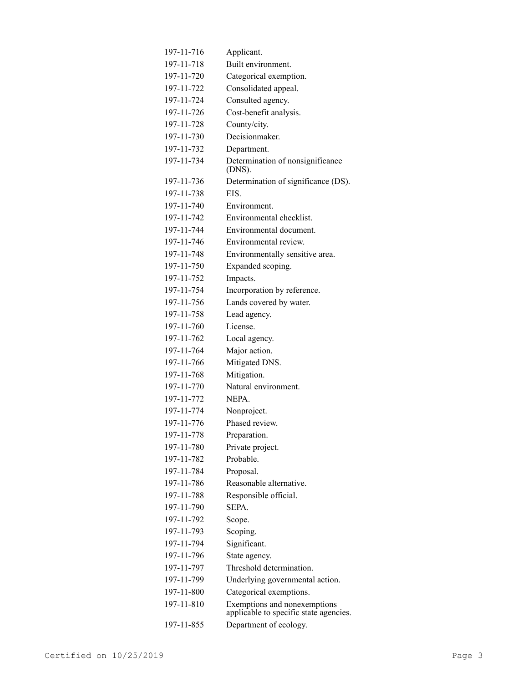| 197-11-716 | Applicant.                                                             |
|------------|------------------------------------------------------------------------|
| 197-11-718 | Built environment.                                                     |
| 197-11-720 | Categorical exemption.                                                 |
| 197-11-722 | Consolidated appeal.                                                   |
| 197-11-724 | Consulted agency.                                                      |
| 197-11-726 | Cost-benefit analysis.                                                 |
| 197-11-728 | County/city.                                                           |
| 197-11-730 | Decisionmaker.                                                         |
| 197-11-732 | Department.                                                            |
| 197-11-734 | Determination of nonsignificance<br>(DNS).                             |
| 197-11-736 | Determination of significance (DS).                                    |
| 197-11-738 | EIS.                                                                   |
| 197-11-740 | Environment.                                                           |
| 197-11-742 | Environmental checklist.                                               |
| 197-11-744 | Environmental document.                                                |
| 197-11-746 | Environmental review.                                                  |
| 197-11-748 | Environmentally sensitive area.                                        |
| 197-11-750 | Expanded scoping.                                                      |
| 197-11-752 | Impacts.                                                               |
| 197-11-754 | Incorporation by reference.                                            |
| 197-11-756 | Lands covered by water.                                                |
| 197-11-758 | Lead agency.                                                           |
| 197-11-760 | License.                                                               |
| 197-11-762 | Local agency.                                                          |
| 197-11-764 | Major action.                                                          |
| 197-11-766 | Mitigated DNS.                                                         |
| 197-11-768 | Mitigation.                                                            |
| 197-11-770 | Natural environment.                                                   |
| 197-11-772 | NEPA.                                                                  |
| 197-11-774 | Nonproject.                                                            |
| 197-11-776 | Phased review.                                                         |
| 197-11-778 | Preparation.                                                           |
| 197-11-780 | Private project.                                                       |
| 197-11-782 | Probable.                                                              |
| 197-11-784 | Proposal.                                                              |
| 197-11-786 | Reasonable alternative.                                                |
| 197-11-788 | Responsible official.                                                  |
| 197-11-790 | SEPA.                                                                  |
| 197-11-792 | Scope.                                                                 |
| 197-11-793 | Scoping.                                                               |
| 197-11-794 | Significant.                                                           |
| 197-11-796 | State agency.                                                          |
| 197-11-797 | Threshold determination.                                               |
| 197-11-799 | Underlying governmental action.                                        |
| 197-11-800 | Categorical exemptions.                                                |
| 197-11-810 | Exemptions and nonexemptions<br>applicable to specific state agencies. |
| 197-11-855 | Department of ecology.                                                 |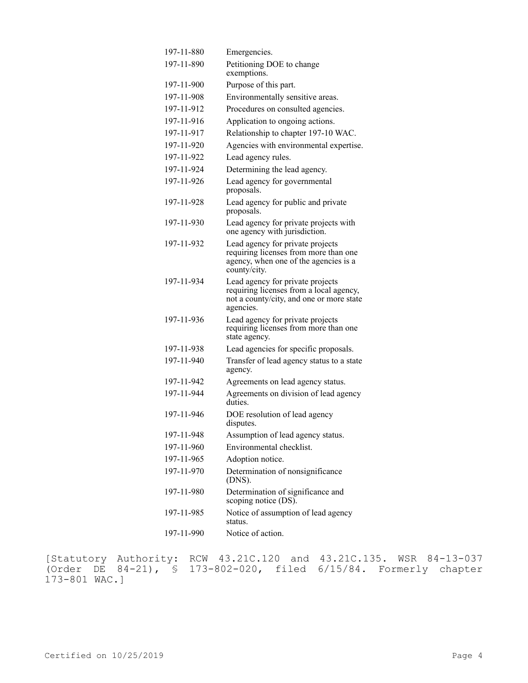| 197-11-880 | Emergencies.                                                                                                                         |
|------------|--------------------------------------------------------------------------------------------------------------------------------------|
| 197-11-890 | Petitioning DOE to change<br>exemptions.                                                                                             |
| 197-11-900 | Purpose of this part.                                                                                                                |
| 197-11-908 | Environmentally sensitive areas.                                                                                                     |
| 197-11-912 | Procedures on consulted agencies.                                                                                                    |
| 197-11-916 | Application to ongoing actions.                                                                                                      |
| 197-11-917 | Relationship to chapter 197-10 WAC.                                                                                                  |
| 197-11-920 | Agencies with environmental expertise.                                                                                               |
| 197-11-922 | Lead agency rules.                                                                                                                   |
| 197-11-924 | Determining the lead agency.                                                                                                         |
| 197-11-926 | Lead agency for governmental<br>proposals.                                                                                           |
| 197-11-928 | Lead agency for public and private<br>proposals.                                                                                     |
| 197-11-930 | Lead agency for private projects with<br>one agency with jurisdiction.                                                               |
| 197-11-932 | Lead agency for private projects<br>requiring licenses from more than one<br>agency, when one of the agencies is a<br>county/city.   |
| 197-11-934 | Lead agency for private projects<br>requiring licenses from a local agency,<br>not a county/city, and one or more state<br>agencies. |
| 197-11-936 | Lead agency for private projects<br>requiring licenses from more than one<br>state agency.                                           |
| 197-11-938 | Lead agencies for specific proposals.                                                                                                |
| 197-11-940 | Transfer of lead agency status to a state<br>agency.                                                                                 |
| 197-11-942 | Agreements on lead agency status.                                                                                                    |
| 197-11-944 | Agreements on division of lead agency<br>duties.                                                                                     |
| 197-11-946 | DOE resolution of lead agency<br>disputes.                                                                                           |
| 197-11-948 | Assumption of lead agency status.                                                                                                    |
| 197-11-960 | Environmental checklist.                                                                                                             |
| 197-11-965 | Adoption notice.                                                                                                                     |
| 197-11-970 | Determination of nonsignificance<br>(DNS).                                                                                           |
| 197-11-980 | Determination of significance and<br>scoping notice (DS).                                                                            |
| 197-11-985 | Notice of assumption of lead agency<br>status.                                                                                       |
| 197-11-990 | Notice of action.                                                                                                                    |

[Statutory Authority: RCW 43.21C.120 and 43.21C.135. WSR 84-13-037 (Order DE 84-21), § 173-802-020, filed 6/15/84. Formerly chapter 173-801 WAC.]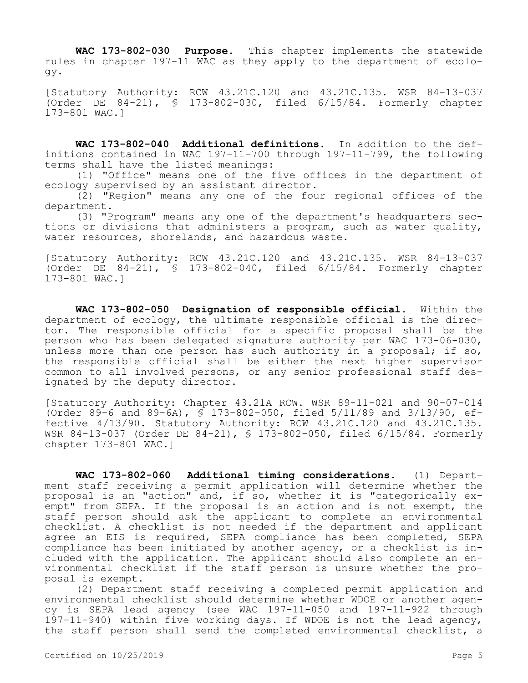**WAC 173-802-030 Purpose.** This chapter implements the statewide rules in chapter 197-11 WAC as they apply to the department of ecology.

[Statutory Authority: RCW 43.21C.120 and 43.21C.135. WSR 84-13-037 (Order DE 84-21), § 173-802-030, filed 6/15/84. Formerly chapter 173-801 WAC.]

**WAC 173-802-040 Additional definitions.** In addition to the definitions contained in WAC 197-11-700 through 197-11-799, the following terms shall have the listed meanings:

(1) "Office" means one of the five offices in the department of ecology supervised by an assistant director.

(2) "Region" means any one of the four regional offices of the department.

(3) "Program" means any one of the department's headquarters sections or divisions that administers a program, such as water quality, water resources, shorelands, and hazardous waste.

[Statutory Authority: RCW 43.21C.120 and 43.21C.135. WSR 84-13-037 (Order DE 84-21), § 173-802-040, filed 6/15/84. Formerly chapter 173-801 WAC.]

**WAC 173-802-050 Designation of responsible official.** Within the department of ecology, the ultimate responsible official is the director. The responsible official for a specific proposal shall be the person who has been delegated signature authority per WAC 173-06-030, unless more than one person has such authority in a proposal; if so, the responsible official shall be either the next higher supervisor common to all involved persons, or any senior professional staff designated by the deputy director.

[Statutory Authority: Chapter 43.21A RCW. WSR 89-11-021 and 90-07-014 (Order 89-6 and 89-6A), § 173-802-050, filed 5/11/89 and 3/13/90, effective 4/13/90. Statutory Authority: RCW 43.21C.120 and 43.21C.135. WSR 84-13-037 (Order DE 84-21), § 173-802-050, filed 6/15/84. Formerly chapter 173-801 WAC.]

**WAC 173-802-060 Additional timing considerations.** (1) Department staff receiving a permit application will determine whether the proposal is an "action" and, if so, whether it is "categorically exempt" from SEPA. If the proposal is an action and is not exempt, the staff person should ask the applicant to complete an environmental checklist. A checklist is not needed if the department and applicant agree an EIS is required, SEPA compliance has been completed, SEPA compliance has been initiated by another agency, or a checklist is included with the application. The applicant should also complete an environmental checklist if the staff person is unsure whether the proposal is exempt.

(2) Department staff receiving a completed permit application and environmental checklist should determine whether WDOE or another agency is SEPA lead agency (see WAC 197-11-050 and 197-11-922 through 197-11-940) within five working days. If WDOE is not the lead agency, the staff person shall send the completed environmental checklist, a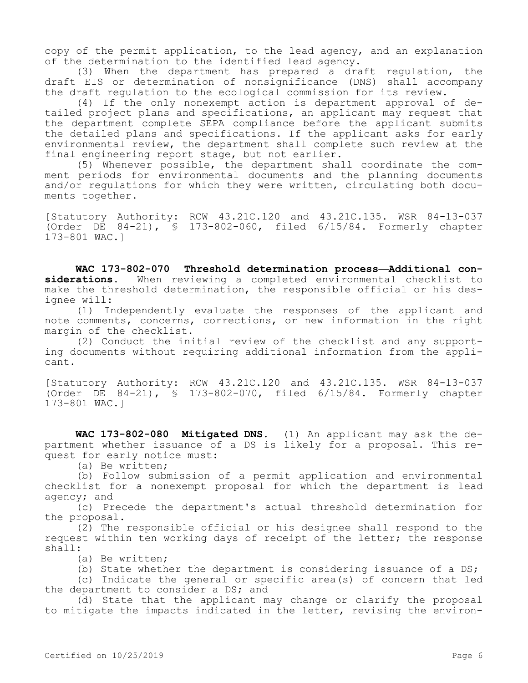copy of the permit application, to the lead agency, and an explanation of the determination to the identified lead agency.

(3) When the department has prepared a draft regulation, the draft EIS or determination of nonsignificance (DNS) shall accompany the draft regulation to the ecological commission for its review.

(4) If the only nonexempt action is department approval of detailed project plans and specifications, an applicant may request that the department complete SEPA compliance before the applicant submits the detailed plans and specifications. If the applicant asks for early environmental review, the department shall complete such review at the final engineering report stage, but not earlier.

(5) Whenever possible, the department shall coordinate the comment periods for environmental documents and the planning documents and/or regulations for which they were written, circulating both documents together.

[Statutory Authority: RCW 43.21C.120 and 43.21C.135. WSR 84-13-037 (Order DE 84-21), § 173-802-060, filed 6/15/84. Formerly chapter 173-801 WAC.]

**WAC 173-802-070 Threshold determination process—Additional considerations.** When reviewing a completed environmental checklist to make the threshold determination, the responsible official or his designee will:

(1) Independently evaluate the responses of the applicant and note comments, concerns, corrections, or new information in the right margin of the checklist.

(2) Conduct the initial review of the checklist and any supporting documents without requiring additional information from the applicant.

[Statutory Authority: RCW 43.21C.120 and 43.21C.135. WSR 84-13-037 (Order DE 84-21), § 173-802-070, filed 6/15/84. Formerly chapter 173-801 WAC.]

**WAC 173-802-080 Mitigated DNS.** (1) An applicant may ask the department whether issuance of a DS is likely for a proposal. This request for early notice must:

(a) Be written;

(b) Follow submission of a permit application and environmental checklist for a nonexempt proposal for which the department is lead agency; and

(c) Precede the department's actual threshold determination for the proposal.

(2) The responsible official or his designee shall respond to the request within ten working days of receipt of the letter; the response shall:

(a) Be written;

(b) State whether the department is considering issuance of a DS;

(c) Indicate the general or specific area(s) of concern that led the department to consider a DS; and

(d) State that the applicant may change or clarify the proposal to mitigate the impacts indicated in the letter, revising the environ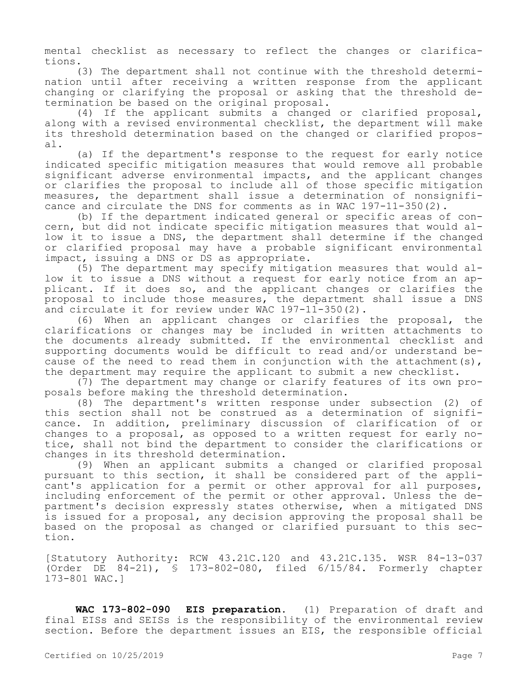mental checklist as necessary to reflect the changes or clarifications.

(3) The department shall not continue with the threshold determination until after receiving a written response from the applicant changing or clarifying the proposal or asking that the threshold determination be based on the original proposal.

(4) If the applicant submits a changed or clarified proposal, along with a revised environmental checklist, the department will make its threshold determination based on the changed or clarified proposal.

(a) If the department's response to the request for early notice indicated specific mitigation measures that would remove all probable significant adverse environmental impacts, and the applicant changes or clarifies the proposal to include all of those specific mitigation measures, the department shall issue a determination of nonsignificance and circulate the DNS for comments as in WAC 197-11-350(2).

(b) If the department indicated general or specific areas of concern, but did not indicate specific mitigation measures that would allow it to issue a DNS, the department shall determine if the changed or clarified proposal may have a probable significant environmental impact, issuing a DNS or DS as appropriate.

(5) The department may specify mitigation measures that would allow it to issue a DNS without a request for early notice from an applicant. If it does so, and the applicant changes or clarifies the proposal to include those measures, the department shall issue a DNS and circulate it for review under WAC 197-11-350(2).

(6) When an applicant changes or clarifies the proposal, the clarifications or changes may be included in written attachments to the documents already submitted. If the environmental checklist and supporting documents would be difficult to read and/or understand because of the need to read them in conjunction with the attachment(s), the department may require the applicant to submit a new checklist.

(7) The department may change or clarify features of its own proposals before making the threshold determination.

(8) The department's written response under subsection (2) of this section shall not be construed as a determination of significance. In addition, preliminary discussion of clarification of or changes to a proposal, as opposed to a written request for early notice, shall not bind the department to consider the clarifications or changes in its threshold determination.

(9) When an applicant submits a changed or clarified proposal pursuant to this section, it shall be considered part of the applicant's application for a permit or other approval for all purposes, including enforcement of the permit or other approval. Unless the department's decision expressly states otherwise, when a mitigated DNS is issued for a proposal, any decision approving the proposal shall be based on the proposal as changed or clarified pursuant to this section.

[Statutory Authority: RCW 43.21C.120 and 43.21C.135. WSR 84-13-037 (Order DE 84-21), § 173-802-080, filed 6/15/84. Formerly chapter 173-801 WAC.]

**WAC 173-802-090 EIS preparation.** (1) Preparation of draft and final EISs and SEISs is the responsibility of the environmental review section. Before the department issues an EIS, the responsible official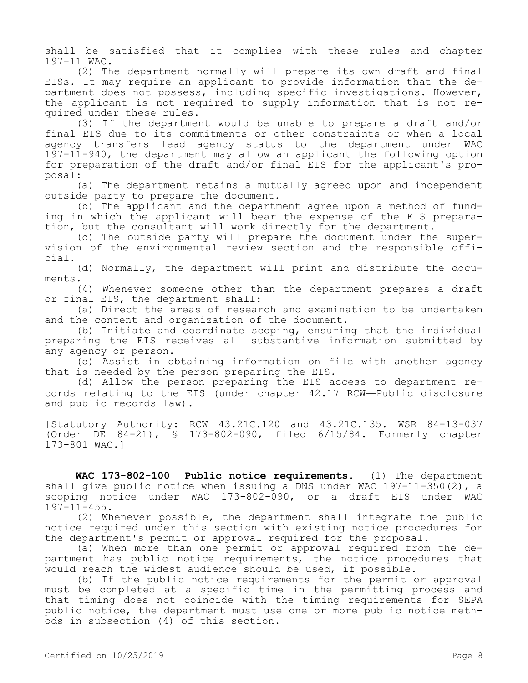shall be satisfied that it complies with these rules and chapter 197-11 WAC.

(2) The department normally will prepare its own draft and final EISs. It may require an applicant to provide information that the department does not possess, including specific investigations. However, the applicant is not required to supply information that is not required under these rules.

(3) If the department would be unable to prepare a draft and/or final EIS due to its commitments or other constraints or when a local agency transfers lead agency status to the department under WAC 197-11-940, the department may allow an applicant the following option for preparation of the draft and/or final EIS for the applicant's proposal:

(a) The department retains a mutually agreed upon and independent outside party to prepare the document.

(b) The applicant and the department agree upon a method of funding in which the applicant will bear the expense of the EIS preparation, but the consultant will work directly for the department.

(c) The outside party will prepare the document under the supervision of the environmental review section and the responsible official.

(d) Normally, the department will print and distribute the documents.

(4) Whenever someone other than the department prepares a draft or final EIS, the department shall:

(a) Direct the areas of research and examination to be undertaken and the content and organization of the document.

(b) Initiate and coordinate scoping, ensuring that the individual preparing the EIS receives all substantive information submitted by any agency or person.

(c) Assist in obtaining information on file with another agency that is needed by the person preparing the EIS.

(d) Allow the person preparing the EIS access to department records relating to the EIS (under chapter 42.17 RCW—Public disclosure and public records law).

[Statutory Authority: RCW 43.21C.120 and 43.21C.135. WSR 84-13-037 (Order DE 84-21), § 173-802-090, filed 6/15/84. Formerly chapter 173-801 WAC.]

**WAC 173-802-100 Public notice requirements.** (1) The department shall give public notice when issuing a DNS under WAC 197-11-350(2), a scoping notice under WAC 173-802-090, or a draft EIS under WAC 197-11-455.

(2) Whenever possible, the department shall integrate the public notice required under this section with existing notice procedures for the department's permit or approval required for the proposal.

(a) When more than one permit or approval required from the department has public notice requirements, the notice procedures that would reach the widest audience should be used, if possible.

(b) If the public notice requirements for the permit or approval must be completed at a specific time in the permitting process and that timing does not coincide with the timing requirements for SEPA public notice, the department must use one or more public notice methods in subsection (4) of this section.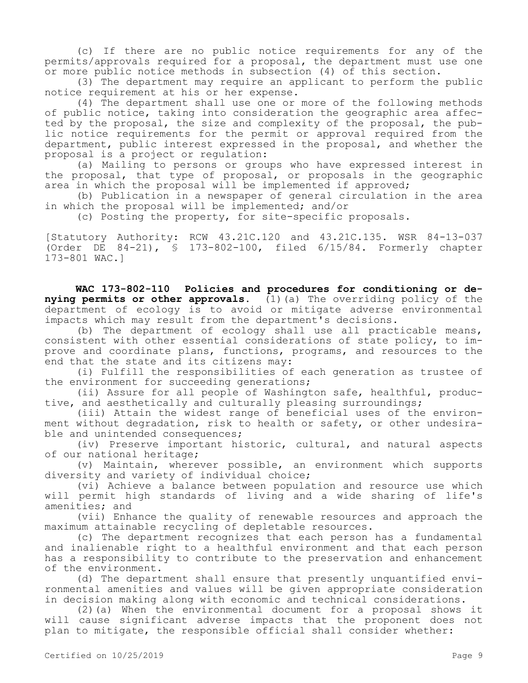(c) If there are no public notice requirements for any of the permits/approvals required for a proposal, the department must use one or more public notice methods in subsection (4) of this section.

(3) The department may require an applicant to perform the public notice requirement at his or her expense.

(4) The department shall use one or more of the following methods of public notice, taking into consideration the geographic area affected by the proposal, the size and complexity of the proposal, the public notice requirements for the permit or approval required from the department, public interest expressed in the proposal, and whether the proposal is a project or regulation:

(a) Mailing to persons or groups who have expressed interest in the proposal, that type of proposal, or proposals in the geographic area in which the proposal will be implemented if approved;

(b) Publication in a newspaper of general circulation in the area in which the proposal will be implemented; and/or

(c) Posting the property, for site-specific proposals.

[Statutory Authority: RCW 43.21C.120 and 43.21C.135. WSR 84-13-037 (Order DE 84-21), § 173-802-100, filed 6/15/84. Formerly chapter 173-801 WAC.]

**WAC 173-802-110 Policies and procedures for conditioning or denying permits or other approvals.** (1)(a) The overriding policy of the department of ecology is to avoid or mitigate adverse environmental impacts which may result from the department's decisions.

(b) The department of ecology shall use all practicable means, consistent with other essential considerations of state policy, to improve and coordinate plans, functions, programs, and resources to the end that the state and its citizens may:

(i) Fulfill the responsibilities of each generation as trustee of the environment for succeeding generations;

(ii) Assure for all people of Washington safe, healthful, productive, and aesthetically and culturally pleasing surroundings;

(iii) Attain the widest range of beneficial uses of the environment without degradation, risk to health or safety, or other undesirable and unintended consequences;

(iv) Preserve important historic, cultural, and natural aspects of our national heritage;

(v) Maintain, wherever possible, an environment which supports diversity and variety of individual choice;

(vi) Achieve a balance between population and resource use which will permit high standards of living and a wide sharing of life's amenities; and

(vii) Enhance the quality of renewable resources and approach the maximum attainable recycling of depletable resources.

(c) The department recognizes that each person has a fundamental and inalienable right to a healthful environment and that each person has a responsibility to contribute to the preservation and enhancement of the environment.

(d) The department shall ensure that presently unquantified environmental amenities and values will be given appropriate consideration in decision making along with economic and technical considerations.

(2)(a) When the environmental document for a proposal shows it will cause significant adverse impacts that the proponent does not plan to mitigate, the responsible official shall consider whether: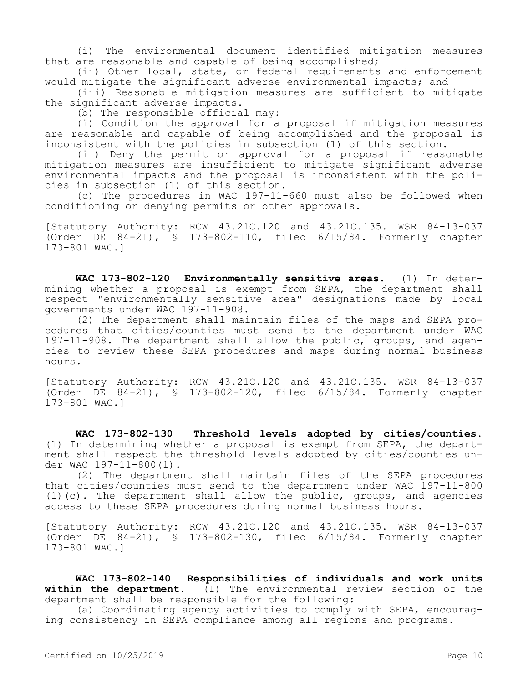(i) The environmental document identified mitigation measures that are reasonable and capable of being accomplished;

(ii) Other local, state, or federal requirements and enforcement would mitigate the significant adverse environmental impacts; and

(iii) Reasonable mitigation measures are sufficient to mitigate the significant adverse impacts.

(b) The responsible official may:

(i) Condition the approval for a proposal if mitigation measures are reasonable and capable of being accomplished and the proposal is inconsistent with the policies in subsection (1) of this section.

(ii) Deny the permit or approval for a proposal if reasonable mitigation measures are insufficient to mitigate significant adverse environmental impacts and the proposal is inconsistent with the policies in subsection (1) of this section.

(c) The procedures in WAC 197-11-660 must also be followed when conditioning or denying permits or other approvals.

[Statutory Authority: RCW 43.21C.120 and 43.21C.135. WSR 84-13-037 (Order DE 84-21), § 173-802-110, filed 6/15/84. Formerly chapter 173-801 WAC.]

**WAC 173-802-120 Environmentally sensitive areas.** (1) In determining whether a proposal is exempt from SEPA, the department shall respect "environmentally sensitive area" designations made by local governments under WAC 197-11-908.

(2) The department shall maintain files of the maps and SEPA procedures that cities/counties must send to the department under WAC 197-11-908. The department shall allow the public, groups, and agencies to review these SEPA procedures and maps during normal business hours.

[Statutory Authority: RCW 43.21C.120 and 43.21C.135. WSR 84-13-037 (Order DE 84-21), § 173-802-120, filed 6/15/84. Formerly chapter 173-801 WAC.]

**WAC 173-802-130 Threshold levels adopted by cities/counties.**  (1) In determining whether a proposal is exempt from SEPA, the department shall respect the threshold levels adopted by cities/counties under WAC 197-11-800(1).

(2) The department shall maintain files of the SEPA procedures that cities/counties must send to the department under WAC 197-11-800 (1)(c). The department shall allow the public, groups, and agencies access to these SEPA procedures during normal business hours.

[Statutory Authority: RCW 43.21C.120 and 43.21C.135. WSR 84-13-037 (Order DE 84-21), § 173-802-130, filed 6/15/84. Formerly chapter 173-801 WAC.]

**WAC 173-802-140 Responsibilities of individuals and work units within the department.** (1) The environmental review section of the department shall be responsible for the following:

(a) Coordinating agency activities to comply with SEPA, encouraging consistency in SEPA compliance among all regions and programs.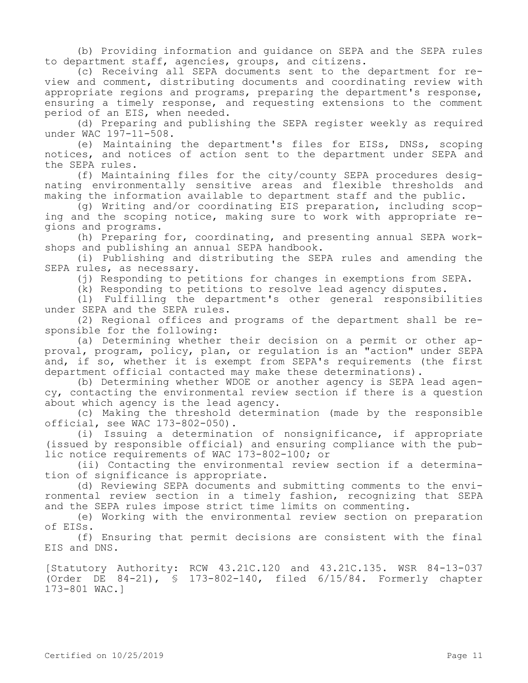(b) Providing information and guidance on SEPA and the SEPA rules to department staff, agencies, groups, and citizens.

(c) Receiving all SEPA documents sent to the department for review and comment, distributing documents and coordinating review with appropriate regions and programs, preparing the department's response, ensuring a timely response, and requesting extensions to the comment period of an EIS, when needed.

(d) Preparing and publishing the SEPA register weekly as required under WAC 197-11-508.

(e) Maintaining the department's files for EISs, DNSs, scoping notices, and notices of action sent to the department under SEPA and the SEPA rules.

(f) Maintaining files for the city/county SEPA procedures designating environmentally sensitive areas and flexible thresholds and making the information available to department staff and the public.

(g) Writing and/or coordinating EIS preparation, including scoping and the scoping notice, making sure to work with appropriate regions and programs.

(h) Preparing for, coordinating, and presenting annual SEPA workshops and publishing an annual SEPA handbook.

(i) Publishing and distributing the SEPA rules and amending the SEPA rules, as necessary.

(j) Responding to petitions for changes in exemptions from SEPA.

(k) Responding to petitions to resolve lead agency disputes.

(l) Fulfilling the department's other general responsibilities under SEPA and the SEPA rules.

(2) Regional offices and programs of the department shall be responsible for the following:

(a) Determining whether their decision on a permit or other approval, program, policy, plan, or regulation is an "action" under SEPA and, if so, whether it is exempt from SEPA's requirements (the first department official contacted may make these determinations).

(b) Determining whether WDOE or another agency is SEPA lead agency, contacting the environmental review section if there is a question about which agency is the lead agency.

(c) Making the threshold determination (made by the responsible official, see WAC 173-802-050).

(i) Issuing a determination of nonsignificance, if appropriate (issued by responsible official) and ensuring compliance with the public notice requirements of WAC 173-802-100; or

(ii) Contacting the environmental review section if a determination of significance is appropriate.

(d) Reviewing SEPA documents and submitting comments to the environmental review section in a timely fashion, recognizing that SEPA and the SEPA rules impose strict time limits on commenting.

(e) Working with the environmental review section on preparation of EISs.

(f) Ensuring that permit decisions are consistent with the final EIS and DNS.

[Statutory Authority: RCW 43.21C.120 and 43.21C.135. WSR 84-13-037 (Order DE 84-21), § 173-802-140, filed 6/15/84. Formerly chapter 173-801 WAC.]